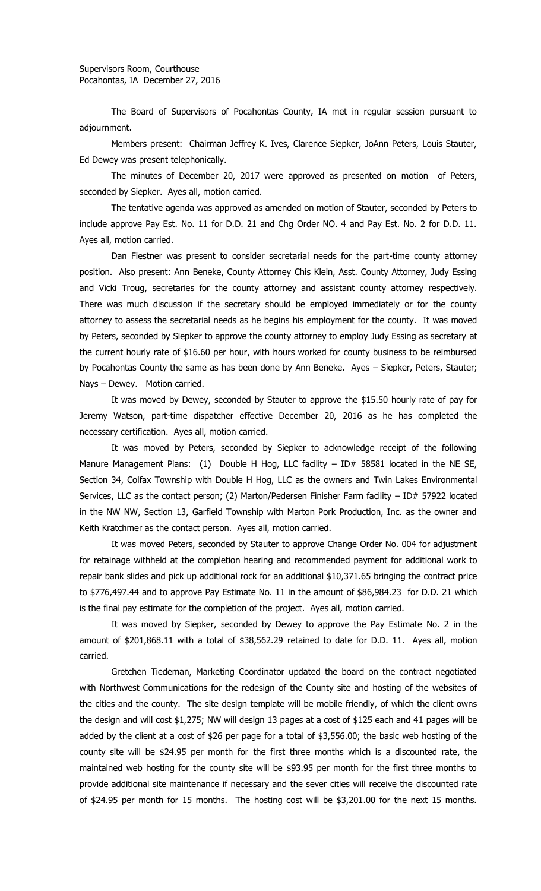The Board of Supervisors of Pocahontas County, IA met in regular session pursuant to adjournment.

Members present: Chairman Jeffrey K. Ives, Clarence Siepker, JoAnn Peters, Louis Stauter, Ed Dewey was present telephonically.

The minutes of December 20, 2017 were approved as presented on motion of Peters, seconded by Siepker. Ayes all, motion carried.

The tentative agenda was approved as amended on motion of Stauter, seconded by Peters to include approve Pay Est. No. 11 for D.D. 21 and Chg Order NO. 4 and Pay Est. No. 2 for D.D. 11. Ayes all, motion carried.

Dan Fiestner was present to consider secretarial needs for the part-time county attorney position. Also present: Ann Beneke, County Attorney Chis Klein, Asst. County Attorney, Judy Essing and Vicki Troug, secretaries for the county attorney and assistant county attorney respectively. There was much discussion if the secretary should be employed immediately or for the county attorney to assess the secretarial needs as he begins his employment for the county. It was moved by Peters, seconded by Siepker to approve the county attorney to employ Judy Essing as secretary at the current hourly rate of \$16.60 per hour, with hours worked for county business to be reimbursed by Pocahontas County the same as has been done by Ann Beneke. Ayes – Siepker, Peters, Stauter; Nays – Dewey. Motion carried.

It was moved by Dewey, seconded by Stauter to approve the \$15.50 hourly rate of pay for Jeremy Watson, part-time dispatcher effective December 20, 2016 as he has completed the necessary certification. Ayes all, motion carried.

It was moved by Peters, seconded by Siepker to acknowledge receipt of the following Manure Management Plans: (1) Double H Hog, LLC facility - ID# 58581 located in the NE SE, Section 34, Colfax Township with Double H Hog, LLC as the owners and Twin Lakes Environmental Services, LLC as the contact person; (2) Marton/Pedersen Finisher Farm facility – ID# 57922 located in the NW NW, Section 13, Garfield Township with Marton Pork Production, Inc. as the owner and Keith Kratchmer as the contact person. Ayes all, motion carried.

It was moved Peters, seconded by Stauter to approve Change Order No. 004 for adjustment for retainage withheld at the completion hearing and recommended payment for additional work to repair bank slides and pick up additional rock for an additional \$10,371.65 bringing the contract price to \$776,497.44 and to approve Pay Estimate No. 11 in the amount of \$86,984.23 for D.D. 21 which is the final pay estimate for the completion of the project. Ayes all, motion carried.

It was moved by Siepker, seconded by Dewey to approve the Pay Estimate No. 2 in the amount of \$201,868.11 with a total of \$38,562.29 retained to date for D.D. 11. Ayes all, motion carried.

Gretchen Tiedeman, Marketing Coordinator updated the board on the contract negotiated with Northwest Communications for the redesign of the County site and hosting of the websites of the cities and the county. The site design template will be mobile friendly, of which the client owns the design and will cost \$1,275; NW will design 13 pages at a cost of \$125 each and 41 pages will be added by the client at a cost of \$26 per page for a total of \$3,556.00; the basic web hosting of the county site will be \$24.95 per month for the first three months which is a discounted rate, the maintained web hosting for the county site will be \$93.95 per month for the first three months to provide additional site maintenance if necessary and the sever cities will receive the discounted rate of \$24.95 per month for 15 months. The hosting cost will be \$3,201.00 for the next 15 months.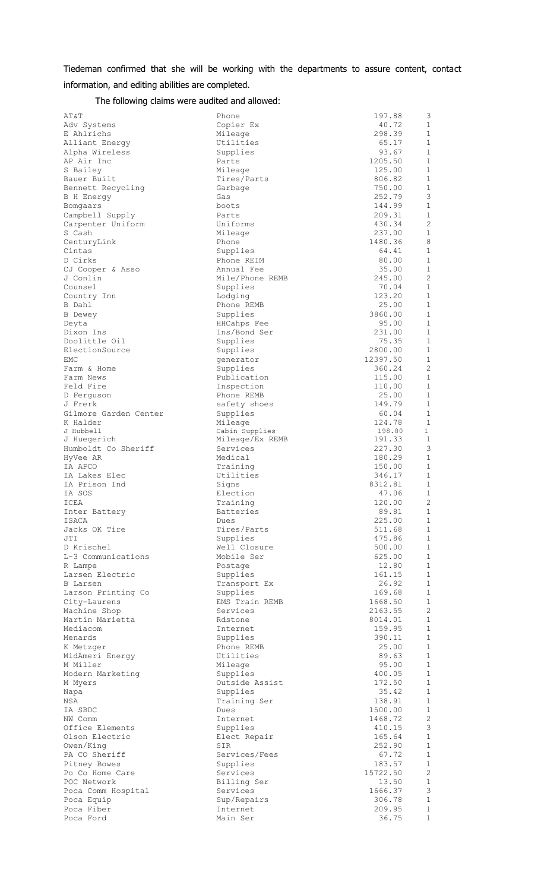Tiedeman confirmed that she will be working with the departments to assure content, contact information, and editing abilities are completed.

The following claims were audited and allowed:

| AT&T                  | Phone                       | 197.88   | 3                           |
|-----------------------|-----------------------------|----------|-----------------------------|
| Adv Systems           | Copier Ex                   | 40.72    | 1                           |
| E Ahlrichs            | Mileage                     | 298.39   | 1                           |
| Alliant Energy        | Utilities                   | 65.17    | $\mathbf 1$                 |
| Alpha Wireless        | Supplies                    | 93.67    | 1                           |
| AP Air Inc            | Parts                       | 1205.50  | 1                           |
| S Bailey              | Mileage                     | 125.00   | $\mathbf 1$                 |
| Bauer Built           | Tires/Parts                 | 806.82   | 1                           |
| Bennett Recycling     | Garbage                     | 750.00   | 1                           |
| B H Energy            | Gas                         | 252.79   | 3                           |
| Bomgaars              | boots                       | 144.99   | $\mathbf 1$                 |
| Campbell Supply       | Parts                       | 209.31   | 1                           |
| Carpenter Uniform     | Uniforms                    | 430.34   | $\overline{2}$              |
| S Cash                | Mileage                     | 237.00   | $\mathbf 1$                 |
| CenturyLink           | Phone                       | 1480.36  | 8                           |
| Cintas                | Supplies                    | 64.41    | 1                           |
| D Cirks               | Phone REIM                  | 80.00    | $\mathbf{1}$                |
| CJ Cooper & Asso      | Annual Fee                  | 35.00    | 1                           |
| J Conlin              | Mile/Phone REMB             | 245.00   | $\overline{c}$              |
| Counsel               | Supplies                    | 70.04    | $\mathbf 1$                 |
| Country Inn           | Lodging                     | 123.20   | $\mathbf 1$                 |
| B Dahl                | Phone REMB                  | 25.00    | 1                           |
| <b>B</b> Dewey        | Supplies                    | 3860.00  | 1                           |
|                       |                             | 95.00    | $\mathbf 1$                 |
| Deyta                 | HHCahps Fee<br>Ins/Bond Ser |          |                             |
| Dixon Ins             |                             | 231.00   | 1                           |
| Doolittle Oil         | Supplies                    | 75.35    | 1                           |
| ElectionSource        | Supplies                    | 2800.00  | $\mathbf 1$                 |
| EMC                   | generator                   | 12397.50 | 1                           |
| Farm & Home           | Supplies                    | 360.24   | $\overline{c}$              |
| Farm News             | Publication                 | 115.00   | 1                           |
| Feld Fire             | Inspection                  | 110.00   | $\mathbf 1$                 |
| D Ferguson            | Phone REMB                  | 25.00    | 1                           |
| J Frerk               | safety shoes                | 149.79   | 1                           |
| Gilmore Garden Center | Supplies                    | 60.04    | $\mathbf 1$                 |
| K Halder              | Mileage                     | 124.78   | $\mathbf{1}$                |
| J Hubbell             | Cabin Supplies              | 198.80   | $\mathbf{1}$                |
| J Huegerich           | Mileage/Ex REMB             | 191.33   | $\mathbf{1}$                |
| Humboldt Co Sheriff   | Services                    | 227.30   | 3                           |
| HyVee AR              | Medical                     | 180.29   | 1                           |
| IA APCO               | Training                    | 150.00   | $\mathbf 1$                 |
| IA Lakes Elec         | Utilities                   | 346.17   | 1                           |
| IA Prison Ind         | Signs                       | 8312.81  | 1                           |
| IA SOS                | Election                    | 47.06    | $\mathbf{1}$                |
| ICEA                  | Training                    | 120.00   | $\overline{c}$              |
| Inter Battery         | <b>Batteries</b>            | 89.81    | $\mathbf 1$                 |
| ISACA                 | Dues                        | 225.00   | $\mathbf{1}$                |
| Jacks OK Tire         | Tires/Parts                 | 511.68   | $\mathbf{1}$                |
| JTI                   | Supplies                    | 475.86   | 1                           |
| D Krischel            | Well Closure                | 500.00   | 1                           |
| L-3 Communications    | Mobile Ser                  | 625.00   | $\mathbf 1$                 |
| R Lampe               | Postage                     | 12.80    | 1                           |
| Larsen Electric       | Supplies                    | 161.15   | 1                           |
| <b>B</b> Larsen       | Transport Ex                | 26.92    | $\mathbf{1}$                |
| Larson Printing Co    | Supplies                    | 169.68   | 1                           |
| City-Laurens          | EMS Train REMB              | 1668.50  | $\mathbf 1$                 |
| Machine Shop          | Services                    | 2163.55  | $\overline{2}$              |
| Martin Marietta       | Rdstone                     | 8014.01  | $\mathbf 1$                 |
| Mediacom              | Internet                    | 159.95   | $\mathbf 1$                 |
| Menards               | Supplies                    | 390.11   | 1                           |
| K Metzger             | Phone REMB                  | 25.00    | $\mathbf{1}$                |
| MidAmeri Energy       | Utilities                   | 89.63    | 1                           |
| M Miller              | Mileage                     | 95.00    | 1                           |
| Modern Marketing      | Supplies                    | 400.05   | $\mathbf{1}$                |
|                       |                             | 172.50   | 1                           |
| M Myers               | Outside Assist              |          | $\mathbf 1$                 |
| Napa                  | Supplies                    | 35.42    |                             |
| NSA                   | Training Ser                | 138.91   | $\mathbf{1}$<br>$\mathbf 1$ |
| IA SBDC               | Dues                        | 1500.00  |                             |
| NW Comm               | Internet                    | 1468.72  | $\overline{c}$              |
| Office Elements       | Supplies                    | 410.15   | 3                           |
| Olson Electric        | Elect Repair                | 165.64   | $\mathbf 1$                 |
| Owen/King             | SIR                         | 252.90   | 1                           |
| PA CO Sheriff         | Services/Fees               | 67.72    | 1                           |
| Pitney Bowes          | Supplies                    | 183.57   | $\mathbf{1}$                |
| Po Co Home Care       | Services                    | 15722.50 | $\overline{c}$              |
| POC Network           | Billing Ser                 | 13.50    | 1                           |
| Poca Comm Hospital    | Services                    | 1666.37  | 3                           |
| Poca Equip            | Sup/Repairs                 | 306.78   | $\mathbf 1$                 |
| Poca Fiber            | Internet                    | 209.95   | 1                           |
| Poca Ford             | Main Ser                    | 36.75    | 1                           |